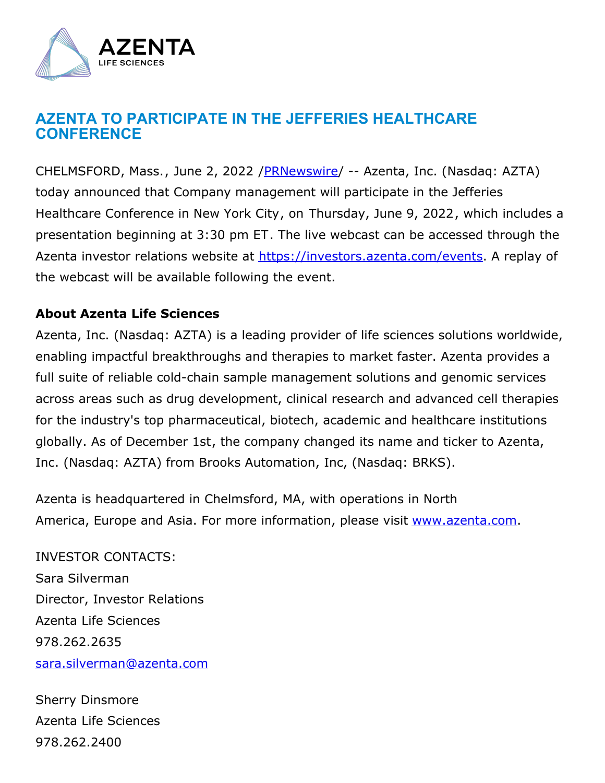

## **AZENTA TO PARTICIPATE IN THE JEFFERIES HEALTHCARE CONFERENCE**

CHELMSFORD, Mass., June 2, 2022 / PRNewswire/ -- Azenta, Inc. (Nasdaq: AZTA) today announced that Company management will participate in the Jefferies Healthcare Conference in New York City, on Thursday, June 9, 2022, which includes a presentation beginning at 3:30 pm ET. The live webcast can be accessed through the Azenta investor relations website at <https://investors.azenta.com/events>. A replay of the webcast will be available following the event.

## **About Azenta Life Sciences**

Azenta, Inc. (Nasdaq: AZTA) is a leading provider of life sciences solutions worldwide, enabling impactful breakthroughs and therapies to market faster. Azenta provides a full suite of reliable cold-chain sample management solutions and genomic services across areas such as drug development, clinical research and advanced cell therapies for the industry's top pharmaceutical, biotech, academic and healthcare institutions globally. As of December 1st, the company changed its name and ticker to Azenta, Inc. (Nasdaq: AZTA) from Brooks Automation, Inc, (Nasdaq: BRKS).

Azenta is headquartered in Chelmsford, MA, with operations in North America, Europe and Asia. For more information, please visit [www.azenta.com](https://c212.net/c/link/?t=0&l=en&o=3555997-1&h=2651080306&u=http%3A%2F%2Fwww.azenta.com%2F&a=www.azenta.com).

INVESTOR CONTACTS: Sara Silverman Director, Investor Relations Azenta Life Sciences 978.262.2635 [sara.silverman@azenta.com](mailto:sara.silverman@azenta.com)

Sherry Dinsmore Azenta Life Sciences 978.262.2400